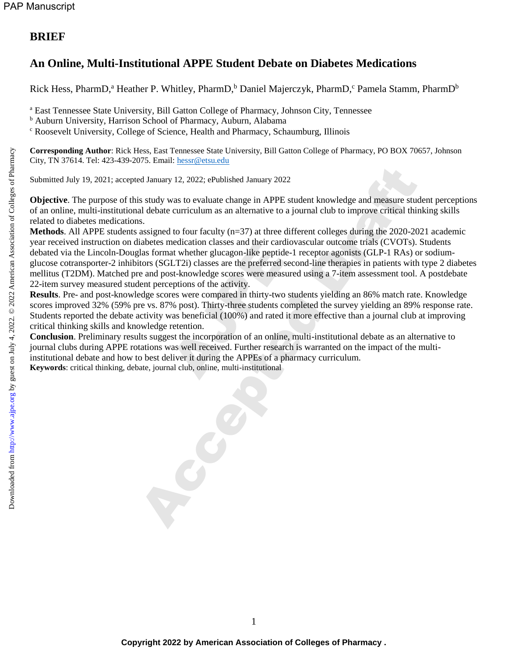## **BRIEF**

# **An Online, Multi-Institutional APPE Student Debate on Diabetes Medications**

Rick Hess, PharmD,<sup>a</sup> Heather P. Whitley, PharmD,<sup>b</sup> Daniel Majerczyk, PharmD,<sup>c</sup> Pamela Stamm, PharmD<sup>b</sup>

<sup>a</sup> East Tennessee State University, Bill Gatton College of Pharmacy, Johnson City, Tennessee

<sup>b</sup> Auburn University, Harrison School of Pharmacy, Auburn, Alabama

<sup>c</sup> Roosevelt University, College of Science, Health and Pharmacy, Schaumburg, Illinois

**Corresponding Author**: Rick Hess, East Tennessee State University, Bill Gatton College of Pharmacy, PO BOX 70657, Johnson City, TN 37614. Tel: 423-439-2075. Email: [hessr@etsu.edu](mailto:mailtohessr@etsu.edu)

Submitted July 19, 2021; accepted January 12, 2022; ePublished January 2022

**Objective**. The purpose of this study was to evaluate change in APPE student knowledge and measure student perceptions of an online, multi-institutional debate curriculum as an alternative to a journal club to improve critical thinking skills related to diabetes medications.

**Methods**. All APPE students assigned to four faculty (n=37) at three different colleges during the 2020-2021 academic year received instruction on diabetes medication classes and their cardiovascular outcome trials (CVOTs). Students debated via the Lincoln-Douglas format whether glucagon-like peptide-1 receptor agonists (GLP-1 RAs) or sodiumglucose cotransporter-2 inhibitors (SGLT2i) classes are the preferred second-line therapies in patients with type 2 diabetes mellitus (T2DM). Matched pre and post-knowledge scores were measured using a 7-item assessment tool. A postdebate 22-item survey measured student perceptions of the activity. nedication classes and their card<br>at whether glucagon-like peptid<br>ET2i) classes are the preferred s<br>st-knowledge scores were meas<br>eptions of the activity.<br>res were compared in thirty-two<br>% post). Thirty-three students c<br>wa de January 12, 2022; ePublished January 2022<br>
is study was to evaluate change in APPE student knowledge and measure stud<br>
al debate curriculum as an alternative to a journal club to improve critical this<br>
sistigned to four

**Results**. Pre- and post-knowledge scores were compared in thirty-two students yielding an 86% match rate. Knowledge scores improved 32% (59% pre vs. 87% post). Thirty-three students completed the survey yielding an 89% response rate. Students reported the debate activity was beneficial (100%) and rated it more effective than a journal club at improving critical thinking skills and knowledge retention.

**Conclusion**. Preliminary results suggest the incorporation of an online, multi-institutional debate as an alternative to journal clubs during APPE rotations was well received. Further research is warranted on the impact of the multiinstitutional debate and how to best deliver it during the APPEs of a pharmacy curriculum. **Keywords**: critical thinking, debate, journal club, online, multi-institutional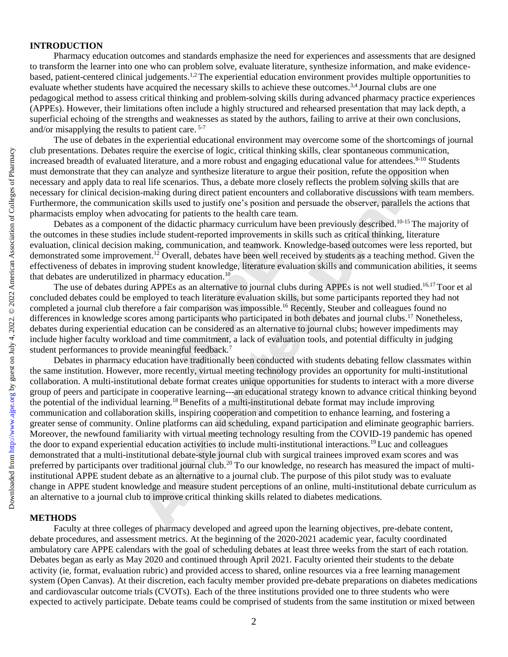### **INTRODUCTION**

Pharmacy education outcomes and standards emphasize the need for experiences and assessments that are designed to transform the learner into one who can problem solve, evaluate literature, synthesize information, and make evidencebased, patient-centered clinical judgements.1,2 The experiential education environment provides multiple opportunities to evaluate whether students have acquired the necessary skills to achieve these outcomes.<sup>3,4</sup> Journal clubs are one pedagogical method to assess critical thinking and problem-solving skills during advanced pharmacy practice experiences (APPEs). However, their limitations often include a highly structured and rehearsed presentation that may lack depth, a superficial echoing of the strengths and weaknesses as stated by the authors, failing to arrive at their own conclusions, and/or misapplying the results to patient care. 5-7

The use of debates in the experiential educational environment may overcome some of the shortcomings of journal club presentations. Debates require the exercise of logic, critical thinking skills, clear spontaneous communication, increased breadth of evaluated literature, and a more robust and engaging educational value for attendees. 8-10 Students must demonstrate that they can analyze and synthesize literature to argue their position, refute the opposition when necessary and apply data to real life scenarios. Thus, a debate more closely reflects the problem solving skills that are necessary for clinical decision-making during direct patient encounters and collaborative discussions with team members. Furthermore, the communication skills used to justify one's position and persuade the observer, parallels the actions that pharmacists employ when advocating for patients to the health care team.

Debates as a component of the didactic pharmacy curriculum have been previously described.<sup>10-15</sup> The majority of the outcomes in these studies include student-reported improvements in skills such as critical thinking, literature evaluation, clinical decision making, communication, and teamwork. Knowledge-based outcomes were less reported, but demonstrated some improvement.<sup>12</sup> Overall, debates have been well received by students as a teaching method. Given the effectiveness of debates in improving student knowledge, literature evaluation skills and communication abilities, it seems that debates are underutilized in pharmacy education.<sup>10</sup>

The use of debates during APPEs as an alternative to journal clubs during APPEs is not well studied.<sup>16,17</sup> Toor et al concluded debates could be employed to teach literature evaluation skills, but some participants reported they had not completed a journal club therefore a fair comparison was impossible.<sup>16</sup> Recently, Steuber and colleagues found no differences in knowledge scores among participants who participated in both debates and journal clubs.<sup>17</sup> Nonetheless, debates during experiential education can be considered as an alternative to journal clubs; however impediments may include higher faculty workload and time commitment, a lack of evaluation tools, and potential difficulty in judging student performances to provide meaningful feedback.<sup>7</sup> communication, and teamwork. I<br>verall, debates have been well restudent knowledge, literature ev<br>accy education.<sup>10</sup><br>Es as an alternative to journal clust to teach literature evaluation sk<br>ir comparison was impossible.<sup>1</sup><br>

Debates in pharmacy education have traditionally been conducted with students debating fellow classmates within the same institution. However, more recently, virtual meeting technology provides an opportunity for multi-institutional collaboration. A multi-institutional debate format creates unique opportunities for students to interact with a more diverse group of peers and participate in cooperative learning---an educational strategy known to advance critical thinking beyond the potential of the individual learning.<sup>18</sup> Benefits of a multi-institutional debate format may include improving communication and collaboration skills, inspiring cooperation and competition to enhance learning, and fostering a greater sense of community. Online platforms can aid scheduling, expand participation and eliminate geographic barriers. Moreover, the newfound familiarity with virtual meeting technology resulting from the COVID-19 pandemic has opened the door to expand experiential education activities to include multi-institutional interactions.<sup>19</sup>Luc and colleagues demonstrated that a multi-institutional debate-style journal club with surgical trainees improved exam scores and was preferred by participants over traditional journal club.<sup>20</sup> To our knowledge, no research has measured the impact of multiinstitutional APPE student debate as an alternative to a journal club. The purpose of this pilot study was to evaluate change in APPE student knowledge and measure student perceptions of an online, multi-institutional debate curriculum as an alternative to a journal club to improve critical thinking skills related to diabetes medications. From the acceptations and the processor of the acceleration of the case is a more probable. Thus a more on the proposition of a more and the proposition and the proposition and the more and the proposition of the american

#### **METHODS**

Faculty at three colleges of pharmacy developed and agreed upon the learning objectives, pre-debate content, debate procedures, and assessment metrics. At the beginning of the 2020-2021 academic year, faculty coordinated ambulatory care APPE calendars with the goal of scheduling debates at least three weeks from the start of each rotation. Debates began as early as May 2020 and continued through April 2021. Faculty oriented their students to the debate activity (ie, format, evaluation rubric) and provided access to shared, online resources via a free learning management system (Open Canvas). At their discretion, each faculty member provided pre-debate preparations on diabetes medications and cardiovascular outcome trials (CVOTs). Each of the three institutions provided one to three students who were expected to actively participate. Debate teams could be comprised of students from the same institution or mixed between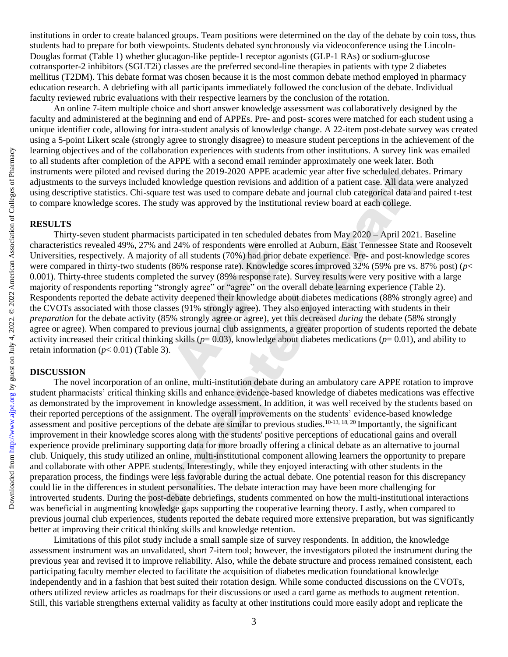institutions in order to create balanced groups. Team positions were determined on the day of the debate by coin toss, thus students had to prepare for both viewpoints. Students debated synchronously via videoconference using the Lincoln-Douglas format (Table 1) whether glucagon-like peptide-1 receptor agonists (GLP-1 RAs) or sodium-glucose cotransporter-2 inhibitors (SGLT2i) classes are the preferred second-line therapies in patients with type 2 diabetes mellitus (T2DM). This debate format was chosen because it is the most common debate method employed in pharmacy education research. A debriefing with all participants immediately followed the conclusion of the debate. Individual faculty reviewed rubric evaluations with their respective learners by the conclusion of the rotation.

An online 7-item multiple choice and short answer knowledge assessment was collaboratively designed by the faculty and administered at the beginning and end of APPEs. Pre- and post- scores were matched for each student using a unique identifier code, allowing for intra-student analysis of knowledge change. A 22-item post-debate survey was created using a 5-point Likert scale (strongly agree to strongly disagree) to measure student perceptions in the achievement of the learning objectives and of the collaboration experiences with students from other institutions. A survey link was emailed to all students after completion of the APPE with a second email reminder approximately one week later. Both instruments were piloted and revised during the 2019-2020 APPE academic year after five scheduled debates. Primary adjustments to the surveys included knowledge question revisions and addition of a patient case. All data were analyzed using descriptive statistics. Chi-square test was used to compare debate and journal club categorical data and paired t-test to compare knowledge scores. The study was approved by the institutional review board at each college.

### **RESULTS**

Thirty-seven student pharmacists participated in ten scheduled debates from May 2020 – April 2021. Baseline characteristics revealed 49%, 27% and 24% of respondents were enrolled at Auburn, East Tennessee State and Roosevelt Universities, respectively. A majority of all students (70%) had prior debate experience. Pre- and post-knowledge scores were compared in thirty-two students (86% response rate). Knowledge scores improved 32% (59% pre vs. 87% post) (*p*< 0.001). Thirty-three students completed the survey (89% response rate). Survey results were very positive with a large majority of respondents reporting "strongly agree" or "agree" on the overall debate learning experience (Table 2). Respondents reported the debate activity deepened their knowledge about diabetes medications (88% strongly agree) and the CVOTs associated with those classes (91% strongly agree). They also enjoyed interacting with students in their *preparation* for the debate activity (85% strongly agree or agree), yet this decreased *during* the debate (58% strongly agree or agree). When compared to previous journal club assignments, a greater proportion of students reported the debate activity increased their critical thinking skills ( $p=0.03$ ), knowledge about diabetes medications ( $p=0.01$ ), and ability to retain information  $(p< 0.01)$  (Table 3). 1 24% of respondents were enrol<br>of all students (70%) had prior (<br>(86% response rate). Knowledge<br>d the survey (89% response rate<br>ongly agree" or "agree" on the c<br>ity deepened their knowledge at<br>ses (91% strongly agree). T

#### **DISCUSSION**

The novel incorporation of an online, multi-institution debate during an ambulatory care APPE rotation to improve student pharmacists' critical thinking skills and enhance evidence-based knowledge of diabetes medications was effective as demonstrated by the improvement in knowledge assessment. In addition, it was well received by the students based on their reported perceptions of the assignment. The overall improvements on the students' evidence-based knowledge assessment and positive perceptions of the debate are similar to previous studies.  $10-13$ ,  $18$ ,  $20$  Importantly, the significant improvement in their knowledge scores along with the students' positive perceptions of educational gains and overall experience provide preliminary supporting data for more broadly offering a clinical debate as an alternative to journal club. Uniquely, this study utilized an online, multi-institutional component allowing learners the opportunity to prepare and collaborate with other APPE students. Interestingly, while they enjoyed interacting with other students in the preparation process, the findings were less favorable during the actual debate. One potential reason for this discrepancy could lie in the differences in student personalities. The debate interaction may have been more challenging for introverted students. During the post-debate debriefings, students commented on how the multi-institutional interactions was beneficial in augmenting knowledge gaps supporting the cooperative learning theory. Lastly, when compared to previous journal club experiences, students reported the debate required more extensive preparation, but was significantly better at improving their critical thinking skills and knowledge retention. Faccepted and of the collection and other the collections with students from other institutions. A survey limited in<br>sultance to provide derivative during the 2019-2020 APPE with a scored mail reminder approximately one w

Limitations of this pilot study include a small sample size of survey respondents. In addition, the knowledge assessment instrument was an unvalidated, short 7-item tool; however, the investigators piloted the instrument during the previous year and revised it to improve reliability. Also, while the debate structure and process remained consistent, each participating faculty member elected to facilitate the acquisition of diabetes medication foundational knowledge independently and in a fashion that best suited their rotation design. While some conducted discussions on the CVOTs, others utilized review articles as roadmaps for their discussions or used a card game as methods to augment retention. Still, this variable strengthens external validity as faculty at other institutions could more easily adopt and replicate the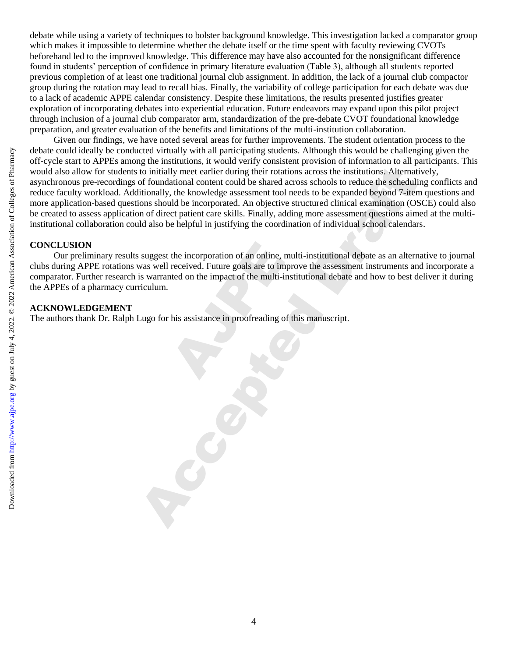debate while using a variety of techniques to bolster background knowledge. This investigation lacked a comparator group which makes it impossible to determine whether the debate itself or the time spent with faculty reviewing CVOTs beforehand led to the improved knowledge. This difference may have also accounted for the nonsignificant difference found in students' perception of confidence in primary literature evaluation (Table 3), although all students reported previous completion of at least one traditional journal club assignment. In addition, the lack of a journal club compactor group during the rotation may lead to recall bias. Finally, the variability of college participation for each debate was due to a lack of academic APPE calendar consistency. Despite these limitations, the results presented justifies greater exploration of incorporating debates into experiential education. Future endeavors may expand upon this pilot project through inclusion of a journal club comparator arm, standardization of the pre-debate CVOT foundational knowledge preparation, and greater evaluation of the benefits and limitations of the multi-institution collaboration.

Given our findings, we have noted several areas for further improvements. The student orientation process to the debate could ideally be conducted virtually with all participating students. Although this would be challenging given the off-cycle start to APPEs among the institutions, it would verify consistent provision of information to all participants. This would also allow for students to initially meet earlier during their rotations across the institutions. Alternatively, asynchronous pre-recordings of foundational content could be shared across schools to reduce the scheduling conflicts and reduce faculty workload. Additionally, the knowledge assessment tool needs to be expanded beyond 7-item questions and more application-based questions should be incorporated. An objective structured clinical examination (OSCE) could also be created to assess application of direct patient care skills. Finally, adding more assessment questions aimed at the multiinstitutional collaboration could also be helpful in justifying the coordination of individual school calendars. So the collect determined by conducted virtually with all participating students. Although this would be abalenged work and a particular some the internal material content during their rotations care the institutions,  $\frac$ 

#### **CONCLUSION**

Our preliminary results suggest the incorporation of an online, multi-institutional debate as an alternative to journal clubs during APPE rotations was well received. Future goals are to improve the assessment instruments and incorporate a comparator. Further research is warranted on the impact of the multi-institutional debate and how to best deliver it during the APPEs of a pharmacy curriculum. the incorporation of an online, if<br>received. Future goals are to im-<br>the on the impact of the multi-i-<br>his assistance in proofreading of

### **ACKNOWLEDGEMENT**

The authors thank Dr. Ralph Lugo for his assistance in proofreading of this manuscript.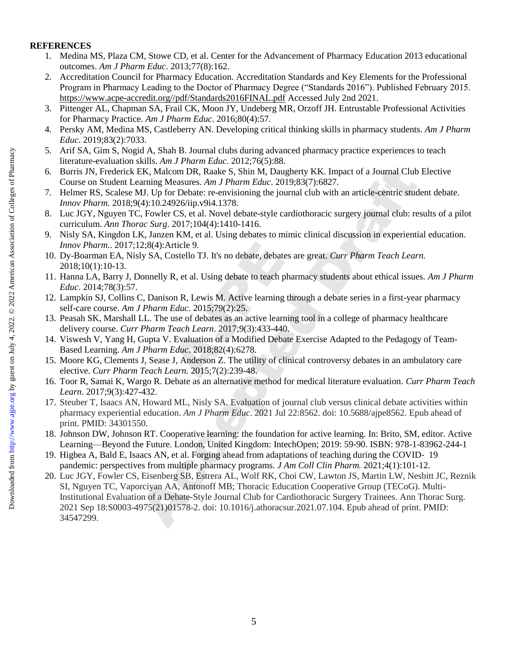## **REFERENCES**

- 1. Medina MS, Plaza CM, Stowe CD, et al. Center for the Advancement of Pharmacy Education 2013 educational outcomes. *Am J Pharm Educ*. 2013;77(8):162.
- 2. Accreditation Council for Pharmacy Education. Accreditation Standards and Key Elements for the Professional Program in Pharmacy Leading to the Doctor of Pharmacy Degree ("Standards 2016"). Published February 2015. [https://www.acpe-accredit.org//pdf/Standards2016FINAL.pdf](https://www.acpe-accredit.org/pdf/Standards2016FINAL.pdf) Accessed July 2nd 2021.
- 3. Pittenger AL, Chapman SA, Frail CK, Moon JY, Undeberg MR, Orzoff JH. Entrustable Professional Activities for Pharmacy Practice. *Am J Pharm Educ*. 2016;80(4):57.
- 4. Persky AM, Medina MS, Castleberry AN. Developing critical thinking skills in pharmacy students. *Am J Pharm Educ*. 2019;83(2):7033.
- 5. Arif SA, Gim S, Nogid A, Shah B. Journal clubs during advanced pharmacy practice experiences to teach literature-evaluation skills. *Am J Pharm Educ*. 2012;76(5):88.
- 6. Burris JN, Frederick EK, Malcom DR, Raake S, Shin M, Daugherty KK. Impact of a Journal Club Elective Course on Student Learning Measures. *Am J Pharm Educ*. 2019;83(7):6827.
- 7. Helmer RS, Scalese MJ. Up for Debate: re-envisioning the journal club with an article-centric student debate. *Innov Pharm.* 2018;9(4):10.24926/iip.v9i4.1378.
- 8. Luc JGY, Nguyen TC, Fowler CS, et al. Novel debate-style cardiothoracic surgery journal club: results of a pilot curriculum. *Ann Thorac Surg*. 2017;104(4):1410-1416.
- 9. Nisly SA, Kingdon LK, Janzen KM, et al. Using debates to mimic clinical discussion in experiential education. *Innov Pharm.*. 2017;12;8(4):Article 9.
- 10. Dy-Boarman EA, Nisly SA, Costello TJ. It's no debate, debates are great. *Curr Pharm Teach Learn.* 2018;10(1):10-13. Tricle 9.<br>
Sostello TJ. It's no debate, debate.<br>
R, et al. Using debate to teach p<br>
on R, Lewis M. Active learning<br>
Educ. 2015;79(2):25.<br>
use of debates as an active learn<br>
Teach Learn. 2017;9(3):433-44(<br>
Evaluation of a M
- 11. Hanna LA, Barry J, Donnelly R, et al. Using debate to teach pharmacy students about ethical issues. *Am J Pharm Educ*. 2014;78(3):57.
- 12. Lampkin SJ, Collins C, Danison R, Lewis M. Active learning through a debate series in a first-year pharmacy self-care course. *Am J Pharm Educ*. 2015;79(2):25.
- 13. Peasah SK, Marshall LL. The use of debates as an active learning tool in a college of pharmacy healthcare delivery course. *Curr Pharm Teach Learn*. 2017;9(3):433-440.
- 14. Viswesh V, Yang H, Gupta V. Evaluation of a Modified Debate Exercise Adapted to the Pedagogy of Team-Based Learning. *Am J Pharm Educ*. 2018;82(4):6278.
- 15. Moore KG, Clements J, Sease J, Anderson Z. The utility of clinical controversy debates in an ambulatory care elective. *Curr Pharm Teach Learn.* 2015;7(2):239-48.
- 16. Toor R, Samai K, Wargo R. Debate as an alternative method for medical literature evaluation. *Curr Pharm Teach Learn*. 2017;9(3):427-432.
- 17. Steuber T, Isaacs AN, Howard ML, Nisly SA. Evaluation of journal club versus clinical debate activities within pharmacy experiential education. *Am J Pharm Educ*. 2021 Jul 22:8562. doi: 10.5688/ajpe8562. Epub ahead of print. PMID: 34301550.
- 18. Johnson DW, Johnson RT. Cooperative learning: the foundation for active learning. In: Brito, SM, editor. Active Learning—Beyond the Future. London, United Kingdom: IntechOpen; 2019: 59-90. ISBN: 978-1-83962-244-1
- 19. Higbea A, Bald E, Isaacs AN, et al. Forging ahead from adaptations of teaching during the COVID‐ 19 pandemic: perspectives from multiple pharmacy programs. *J Am Coll Clin Pharm.* 2021;4(1):101-12.
- 20. Luc JGY, Fowler CS, Eisenberg SB, Estrera AL, Wolf RK, Choi CW, Lawton JS, Martin LW, Nesbitt JC, Reznik SI, Nguyen TC, Vaporciyan AA, Antonoff MB; Thoracic Education Cooperative Group (TECoG). Multi-Institutional Evaluation of a Debate-Style Journal Club for Cardiothoracic Surgery Trainees. Ann Thorac Surg. 2021 Sep 18:S0003-4975(21)01578-2. doi: 10.1016/j.athoracsur.2021.07.104. Epub ahead of print. PMID: 34547299. 3. Accepted Mrs. Colleges on Mrs. Note of Draft by thing a structure state of Dramis IN. Frederick EK, Malcon DR, Raades S. Shim A. Daugherty KK. Impact of Doutser on Student LEV american Association of Colleges of Draft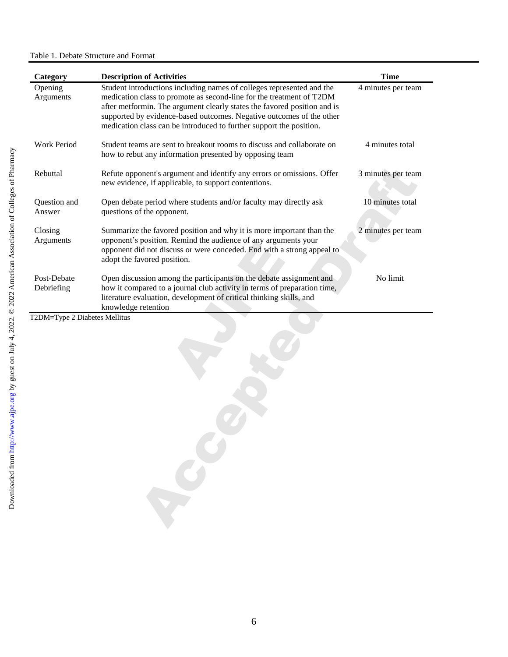| Category                                    | <b>Description of Activities</b>                                                                                                                                                                                                                                                                                                                                         | <b>Time</b>        |
|---------------------------------------------|--------------------------------------------------------------------------------------------------------------------------------------------------------------------------------------------------------------------------------------------------------------------------------------------------------------------------------------------------------------------------|--------------------|
| Opening<br>Arguments                        | Student introductions including names of colleges represented and the<br>medication class to promote as second-line for the treatment of T2DM<br>after metformin. The argument clearly states the favored position and is<br>supported by evidence-based outcomes. Negative outcomes of the other<br>medication class can be introduced to further support the position. | 4 minutes per team |
| Work Period                                 | Student teams are sent to breakout rooms to discuss and collaborate on<br>how to rebut any information presented by opposing team                                                                                                                                                                                                                                        | 4 minutes total    |
| Rebuttal                                    | Refute opponent's argument and identify any errors or omissions. Offer<br>new evidence, if applicable, to support contentions.                                                                                                                                                                                                                                           | 3 minutes per team |
| Question and<br>Answer                      | Open debate period where students and/or faculty may directly ask<br>questions of the opponent.                                                                                                                                                                                                                                                                          | 10 minutes total   |
| Closing<br>Arguments                        | Summarize the favored position and why it is more important than the<br>opponent's position. Remind the audience of any arguments your<br>opponent did not discuss or were conceded. End with a strong appeal to<br>adopt the favored position.                                                                                                                          | 2 minutes per team |
| Post-Debate                                 | Open discussion among the participants on the debate assignment and<br>how it compared to a journal club activity in terms of preparation time,<br>literature evaluation, development of critical thinking skills, and                                                                                                                                                   | No limit           |
| Debriefing<br>T2DM=Type 2 Diabetes Mellitus | knowledge retention                                                                                                                                                                                                                                                                                                                                                      |                    |
|                                             |                                                                                                                                                                                                                                                                                                                                                                          |                    |
|                                             |                                                                                                                                                                                                                                                                                                                                                                          |                    |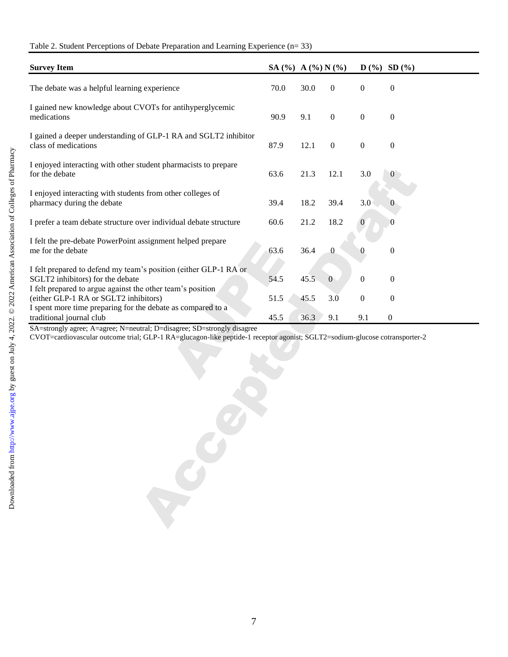| Table 2. Student Perceptions of Debate Preparation and Learning Experience (n= 33) |  |  |  |
|------------------------------------------------------------------------------------|--|--|--|
|                                                                                    |  |  |  |

| <b>Survey Item</b>                                                                                                                                                 | SA $(\%)$ A $(\%)$ N $(\%)$ |      |                  |                  | $D(%)$ SD $(%)$  |
|--------------------------------------------------------------------------------------------------------------------------------------------------------------------|-----------------------------|------|------------------|------------------|------------------|
| The debate was a helpful learning experience                                                                                                                       | 70.0                        | 30.0 | $\boldsymbol{0}$ | $\boldsymbol{0}$ | $\boldsymbol{0}$ |
| I gained new knowledge about CVOTs for antihyperglycemic<br>medications                                                                                            | 90.9                        | 9.1  | $\boldsymbol{0}$ | $\boldsymbol{0}$ | $\boldsymbol{0}$ |
| I gained a deeper understanding of GLP-1 RA and SGLT2 inhibitor<br>class of medications                                                                            | 87.9                        | 12.1 | $\boldsymbol{0}$ | $\boldsymbol{0}$ | $\boldsymbol{0}$ |
| I enjoyed interacting with other student pharmacists to prepare<br>for the debate                                                                                  | 63.6                        | 21.3 | 12.1             | 3.0              | $\theta$         |
| I enjoyed interacting with students from other colleges of<br>pharmacy during the debate                                                                           | 39.4                        | 18.2 | 39.4             | 3.0              | $\theta$         |
| I prefer a team debate structure over individual debate structure                                                                                                  | 60.6                        | 21.2 | 18.2             | $\mathbf 0$      |                  |
| I felt the pre-debate PowerPoint assignment helped prepare<br>me for the debate                                                                                    | 63.6                        | 36.4 | $\boldsymbol{0}$ | 0                | $\boldsymbol{0}$ |
| I felt prepared to defend my team's position (either GLP-1 RA or<br>SGLT2 inhibitors) for the debate<br>I felt prepared to argue against the other team's position | 54.5                        | 45.5 | $\overline{0}$   | $\boldsymbol{0}$ | $\boldsymbol{0}$ |
| (either GLP-1 RA or SGLT2 inhibitors)<br>I spent more time preparing for the debate as compared to a                                                               | 51.5                        | 45.5 | 3.0              | $\boldsymbol{0}$ | $\boldsymbol{0}$ |
| traditional journal club                                                                                                                                           | 45.5                        | 36.3 | 9.1              | 9.1              | $\boldsymbol{0}$ |
| CVOT=cardiovascular outcome trial; GLP-1 RA=glucagon-like peptide-1 receptor agonist; SGLT2=sodium-glucose cotransporter-2                                         |                             |      |                  |                  |                  |
|                                                                                                                                                                    |                             |      |                  |                  |                  |